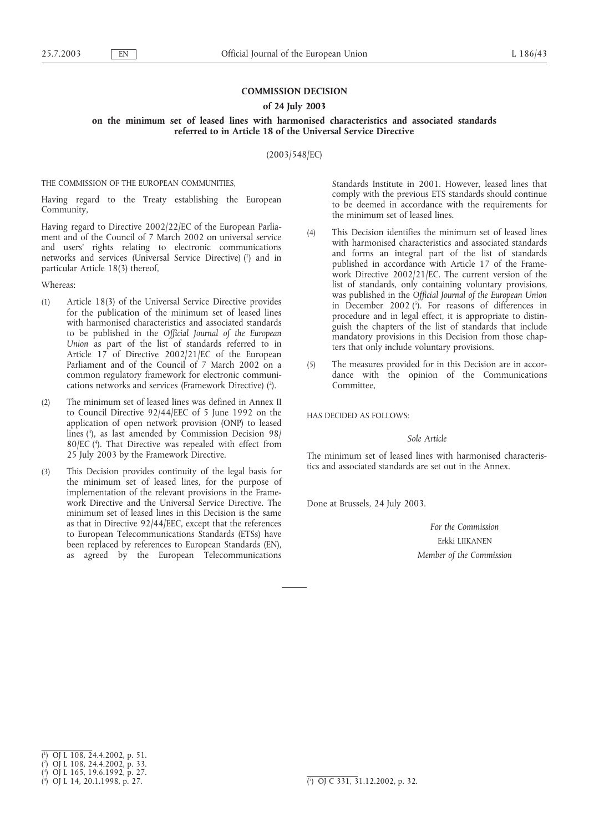# **COMMISSION DECISION**

## **of 24 July 2003**

## **on the minimum set of leased lines with harmonised characteristics and associated standards referred to in Article 18 of the Universal Service Directive**

(2003/548/EC)

THE COMMISSION OF THE EUROPEAN COMMUNITIES,

Having regard to the Treaty establishing the European Community,

Having regard to Directive 2002/22/EC of the European Parliament and of the Council of 7 March 2002 on universal service and users' rights relating to electronic communications networks and services (Universal Service Directive) (1 ) and in particular Article 18(3) thereof,

Whereas:

- (1) Article 18(3) of the Universal Service Directive provides for the publication of the minimum set of leased lines with harmonised characteristics and associated standards to be published in the *Official Journal of the European Union* as part of the list of standards referred to in Article 17 of Directive 2002/21/EC of the European Parliament and of the Council of 7 March 2002 on a common regulatory framework for electronic communications networks and services (Framework Directive) (?).
- (2) The minimum set of leased lines was defined in Annex II to Council Directive 92/44/EEC of 5 June 1992 on the application of open network provision (ONP) to leased lines (3 ), as last amended by Commission Decision 98/ 80/EC (4 ). That Directive was repealed with effect from 25 July 2003 by the Framework Directive.
- (3) This Decision provides continuity of the legal basis for the minimum set of leased lines, for the purpose of implementation of the relevant provisions in the Framework Directive and the Universal Service Directive. The minimum set of leased lines in this Decision is the same as that in Directive 92/44/EEC, except that the references to European Telecommunications Standards (ETSs) have been replaced by references to European Standards (EN), as agreed by the European Telecommunications

Standards Institute in 2001. However, leased lines that comply with the previous ETS standards should continue to be deemed in accordance with the requirements for the minimum set of leased lines.

- (4) This Decision identifies the minimum set of leased lines with harmonised characteristics and associated standards and forms an integral part of the list of standards published in accordance with Article 17 of the Framework Directive 2002/21/EC. The current version of the list of standards, only containing voluntary provisions, was published in the *Official Journal of the European Union* in December 2002 (5). For reasons of differences in procedure and in legal effect, it is appropriate to distinguish the chapters of the list of standards that include mandatory provisions in this Decision from those chapters that only include voluntary provisions.
- (5) The measures provided for in this Decision are in accordance with the opinion of the Communications Committee,

HAS DECIDED AS FOLLOWS:

*Sole Article*

The minimum set of leased lines with harmonised characteristics and associated standards are set out in the Annex.

Done at Brussels, 24 July 2003.

*For the Commission* Erkki LIIKANEN *Member of the Commission*

<sup>(</sup> 1 ) OJ L 108, 24.4.2002, p. 51.

<sup>(</sup> 2 ) OJ L 108, 24.4.2002, p. 33.

<sup>(</sup> 3 ) OJ L 165, 19.6.1992, p. 27.

<sup>(</sup> 4 ) OJ L 14, 20.1.1998, p. 27. (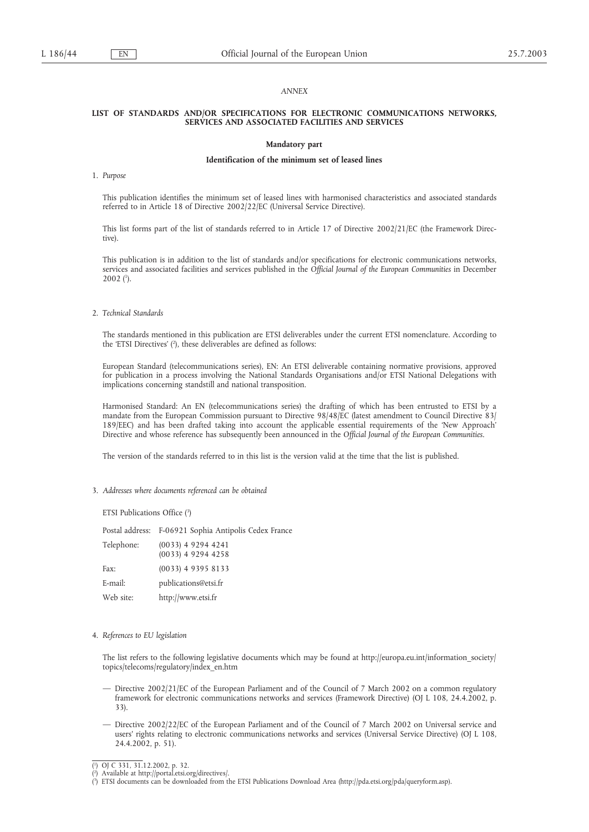### *ANNEX*

### **LIST OF STANDARDS AND/OR SPECIFICATIONS FOR ELECTRONIC COMMUNICATIONS NETWORKS, SERVICES AND ASSOCIATED FACILITIES AND SERVICES**

### **Mandatory part**

#### **Identification of the minimum set of leased lines**

#### 1. *Purpose*

This publication identifies the minimum set of leased lines with harmonised characteristics and associated standards referred to in Article 18 of Directive 2002/22/EC (Universal Service Directive).

This list forms part of the list of standards referred to in Article 17 of Directive 2002/21/EC (the Framework Directive).

This publication is in addition to the list of standards and/or specifications for electronic communications networks, services and associated facilities and services published in the *Official Journal of the European Communities* in December  $2002$  (<sup>1</sup>).

2. *Technical Standards*

The standards mentioned in this publication are ETSI deliverables under the current ETSI nomenclature. According to the 'ETSI Directives' (<sup>2</sup>), these deliverables are defined as follows:

European Standard (telecommunications series), EN: An ETSI deliverable containing normative provisions, approved for publication in a process involving the National Standards Organisations and/or ETSI National Delegations with implications concerning standstill and national transposition.

Harmonised Standard: An EN (telecommunications series) the drafting of which has been entrusted to ETSI by a mandate from the European Commission pursuant to Directive 98/48/EC (latest amendment to Council Directive 83/ 189/EEC) and has been drafted taking into account the applicable essential requirements of the 'New Approach' Directive and whose reference has subsequently been announced in the *Official Journal of the European Communities*.

The version of the standards referred to in this list is the version valid at the time that the list is published.

3. *Addresses where documents referenced can be obtained*

ETSI Publications Office (3 )

Postal address: F-06921 Sophia Antipolis Cedex France Telephone: (0033) 4 9294 4241 (0033) 4 9294 4258 Fax: (0033) 4 9395 8133 E-mail: publications@etsi.fr Web site: http://www.etsi.fr

#### 4. *References to EU legislation*

The list refers to the following legislative documents which may be found at http://europa.eu.int/information\_society/ topics/telecoms/regulatory/index\_en.htm

- Directive 2002/21/EC of the European Parliament and of the Council of 7 March 2002 on a common regulatory framework for electronic communications networks and services (Framework Directive) (OJ L 108, 24.4.2002, p. 33).
- Directive 2002/22/EC of the European Parliament and of the Council of 7 March 2002 on Universal service and users' rights relating to electronic communications networks and services (Universal Service Directive) (OJ L 108, 24.4.2002, p. 51).

<sup>(</sup> 1 ) OJ C 331, 31.12.2002, p. 32.

<sup>(</sup> ) Available at http://portal.etsi.org/directives/.

<sup>(</sup> 3 ) ETSI documents can be downloaded from the ETSI Publications Download Area (http://pda.etsi.org/pda/queryform.asp).